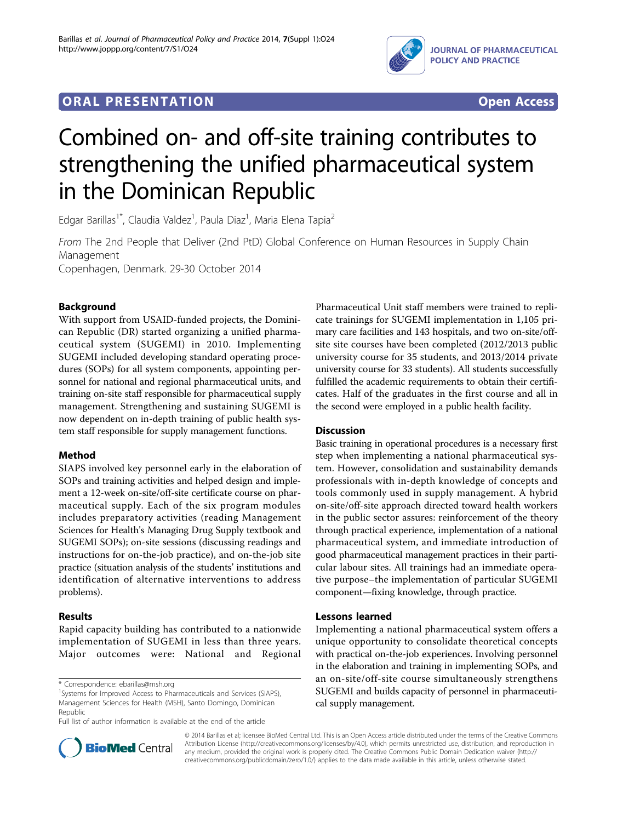

# **ORAL PRESENTATION CONSUMING ACCESS**



# Combined on- and off-site training contributes to strengthening the unified pharmaceutical system in the Dominican Republic

Edgar Barillas<sup>1\*</sup>, Claudia Valdez<sup>1</sup>, Paula Diaz<sup>1</sup>, Maria Elena Tapia<sup>2</sup>

From The 2nd People that Deliver (2nd PtD) Global Conference on Human Resources in Supply Chain Management

Copenhagen, Denmark. 29-30 October 2014

# Background

With support from USAID-funded projects, the Dominican Republic (DR) started organizing a unified pharmaceutical system (SUGEMI) in 2010. Implementing SUGEMI included developing standard operating procedures (SOPs) for all system components, appointing personnel for national and regional pharmaceutical units, and training on-site staff responsible for pharmaceutical supply management. Strengthening and sustaining SUGEMI is now dependent on in-depth training of public health system staff responsible for supply management functions.

## Method

SIAPS involved key personnel early in the elaboration of SOPs and training activities and helped design and implement a 12-week on-site/off-site certificate course on pharmaceutical supply. Each of the six program modules includes preparatory activities (reading Management Sciences for Health's Managing Drug Supply textbook and SUGEMI SOPs); on-site sessions (discussing readings and instructions for on-the-job practice), and on-the-job site practice (situation analysis of the students' institutions and identification of alternative interventions to address problems).

## Results

Rapid capacity building has contributed to a nationwide implementation of SUGEMI in less than three years. Major outcomes were: National and Regional

\* Correspondence: [ebarillas@msh.org](mailto:ebarillas@msh.org)



#### **Discussion**

Basic training in operational procedures is a necessary first step when implementing a national pharmaceutical system. However, consolidation and sustainability demands professionals with in-depth knowledge of concepts and tools commonly used in supply management. A hybrid on-site/off-site approach directed toward health workers in the public sector assures: reinforcement of the theory through practical experience, implementation of a national pharmaceutical system, and immediate introduction of good pharmaceutical management practices in their particular labour sites. All trainings had an immediate operative purpose–the implementation of particular SUGEMI component—fixing knowledge, through practice.

#### Lessons learned

Implementing a national pharmaceutical system offers a unique opportunity to consolidate theoretical concepts with practical on-the-job experiences. Involving personnel in the elaboration and training in implementing SOPs, and an on-site/off-site course simultaneously strengthens SUGEMI and builds capacity of personnel in pharmaceutical supply management.



© 2014 Barillas et al; licensee BioMed Central Ltd. This is an Open Access article distributed under the terms of the Creative Commons Attribution License [\(http://creativecommons.org/licenses/by/4.0](http://creativecommons.org/licenses/by/4.0)), which permits unrestricted use, distribution, and reproduction in any medium, provided the original work is properly cited. The Creative Commons Public Domain Dedication waiver [\(http://](http://creativecommons.org/publicdomain/zero/1.0/) [creativecommons.org/publicdomain/zero/1.0/](http://creativecommons.org/publicdomain/zero/1.0/)) applies to the data made available in this article, unless otherwise stated.

<sup>&</sup>lt;sup>1</sup>Systems for Improved Access to Pharmaceuticals and Services (SIAPS), Management Sciences for Health (MSH), Santo Domingo, Dominican Republic

Full list of author information is available at the end of the article